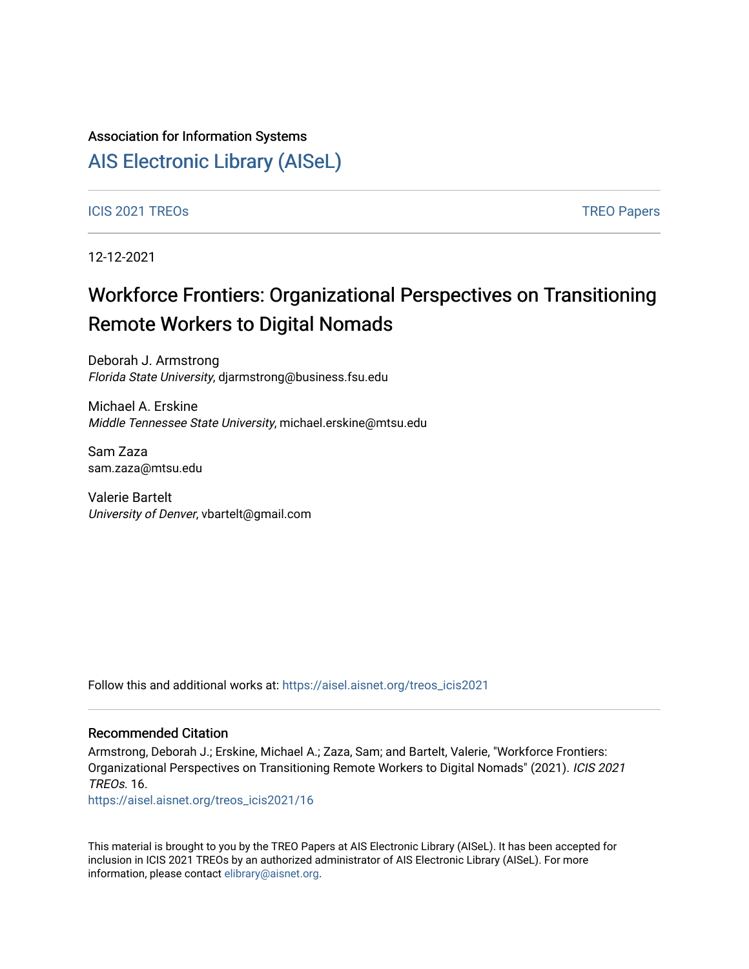### Association for Information Systems

# [AIS Electronic Library \(AISeL\)](https://aisel.aisnet.org/)

ICIS 2021 TREOS Notes that the contract of the contract of the contract of the contract of the contract of the contract of the contract of the contract of the contract of the contract of the contract of the contract of the

12-12-2021

# Workforce Frontiers: Organizational Perspectives on Transitioning Remote Workers to Digital Nomads

Deborah J. Armstrong Florida State University, djarmstrong@business.fsu.edu

Michael A. Erskine Middle Tennessee State University, michael.erskine@mtsu.edu

Sam Zaza sam.zaza@mtsu.edu

Valerie Bartelt University of Denver, vbartelt@gmail.com

Follow this and additional works at: [https://aisel.aisnet.org/treos\\_icis2021](https://aisel.aisnet.org/treos_icis2021?utm_source=aisel.aisnet.org%2Ftreos_icis2021%2F16&utm_medium=PDF&utm_campaign=PDFCoverPages) 

#### Recommended Citation

Armstrong, Deborah J.; Erskine, Michael A.; Zaza, Sam; and Bartelt, Valerie, "Workforce Frontiers: Organizational Perspectives on Transitioning Remote Workers to Digital Nomads" (2021). ICIS 2021 TREOs. 16.

[https://aisel.aisnet.org/treos\\_icis2021/16](https://aisel.aisnet.org/treos_icis2021/16?utm_source=aisel.aisnet.org%2Ftreos_icis2021%2F16&utm_medium=PDF&utm_campaign=PDFCoverPages) 

This material is brought to you by the TREO Papers at AIS Electronic Library (AISeL). It has been accepted for inclusion in ICIS 2021 TREOs by an authorized administrator of AIS Electronic Library (AISeL). For more information, please contact [elibrary@aisnet.org.](mailto:elibrary@aisnet.org%3E)